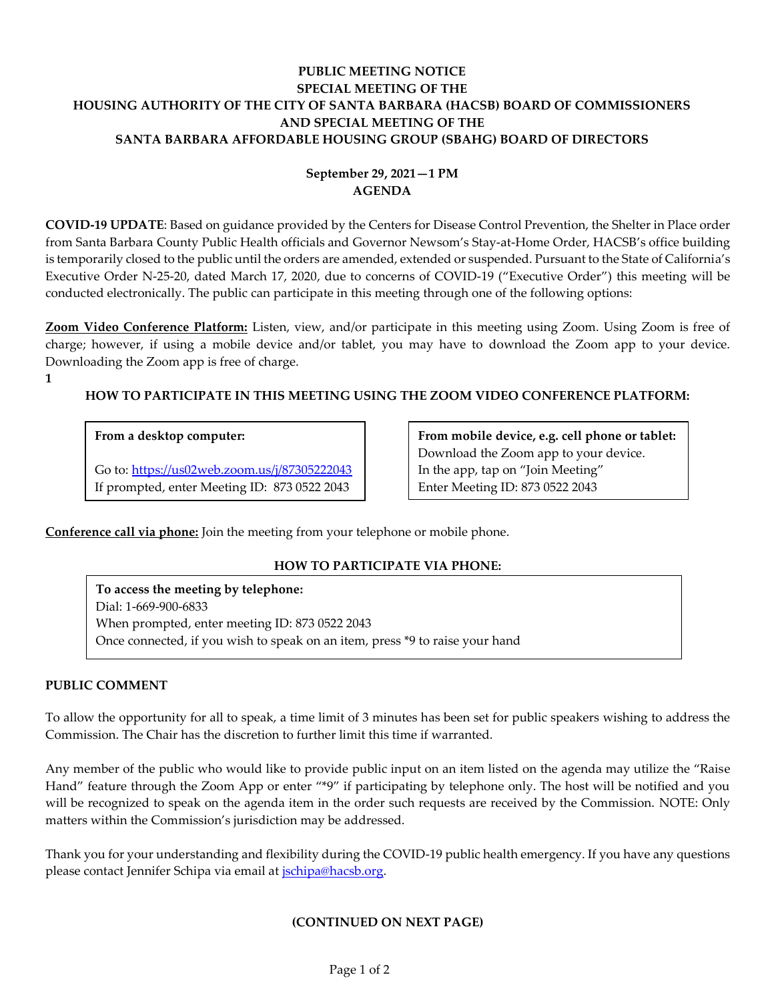## **PUBLIC MEETING NOTICE SPECIAL MEETING OF THE HOUSING AUTHORITY OF THE CITY OF SANTA BARBARA (HACSB) BOARD OF COMMISSIONERS AND SPECIAL MEETING OF THE SANTA BARBARA AFFORDABLE HOUSING GROUP (SBAHG) BOARD OF DIRECTORS**

# **September 29, 2021—1 PM AGENDA**

**COVID-19 UPDATE**: Based on guidance provided by the Centers for Disease Control Prevention, the Shelter in Place order from Santa Barbara County Public Health officials and Governor Newsom's Stay-at-Home Order, HACSB's office building is temporarily closed to the public until the orders are amended, extended or suspended. Pursuant to the State of California's Executive Order N-25-20, dated March 17, 2020, due to concerns of COVID-19 ("Executive Order") this meeting will be conducted electronically. The public can participate in this meeting through one of the following options:

**Zoom Video Conference Platform:** Listen, view, and/or participate in this meeting using Zoom. Using Zoom is free of charge; however, if using a mobile device and/or tablet, you may have to download the Zoom app to your device. Downloading the Zoom app is free of charge.

**1**

# **HOW TO PARTICIPATE IN THIS MEETING USING THE ZOOM VIDEO CONFERENCE PLATFORM:**

### **From a desktop computer:**

Go to:<https://us02web.zoom.us/j/87305222043> If prompted, enter Meeting ID: 873 0522 2043

**From mobile device, e.g. cell phone or tablet:** Download the Zoom app to your device. In the app, tap on "Join Meeting" Enter Meeting ID: 873 0522 2043

**Conference call via phone:** Join the meeting from your telephone or mobile phone.

## **HOW TO PARTICIPATE VIA PHONE:**

**To access the meeting by telephone:** Dial: 1-669-900-6833 When prompted, enter meeting ID: 873 0522 2043 Once connected, if you wish to speak on an item, press \*9 to raise your hand

#### **PUBLIC COMMENT**

To allow the opportunity for all to speak, a time limit of 3 minutes has been set for public speakers wishing to address the Commission. The Chair has the discretion to further limit this time if warranted.

Any member of the public who would like to provide public input on an item listed on the agenda may utilize the "Raise Hand" feature through the Zoom App or enter "\*9" if participating by telephone only. The host will be notified and you will be recognized to speak on the agenda item in the order such requests are received by the Commission. NOTE: Only matters within the Commission's jurisdiction may be addressed.

Thank you for your understanding and flexibility during the COVID-19 public health emergency. If you have any questions please contact Jennifer Schipa via email at *jschipa@hacsb.org*.

## **(CONTINUED ON NEXT PAGE)**